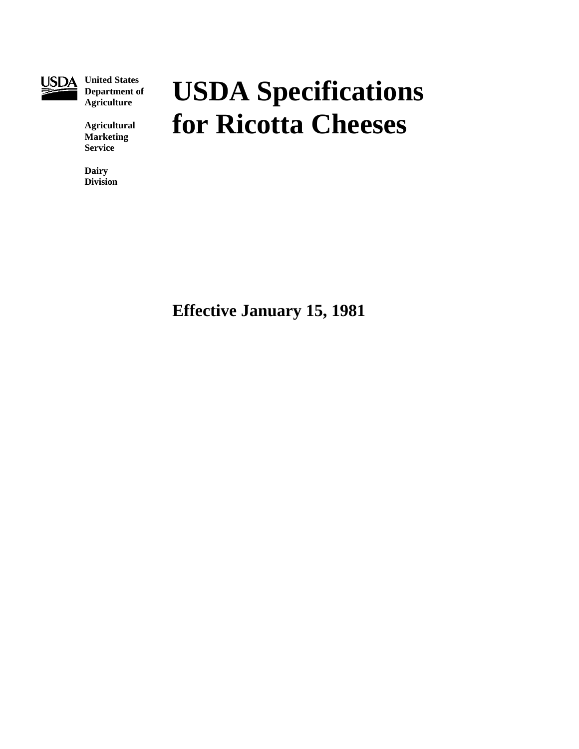

**United States Department of Agriculture**

**Agricultural Marketing Service**

**Dairy Division**

# **USDA Specifications for Ricotta Cheeses**

**Effective January 15, 1981**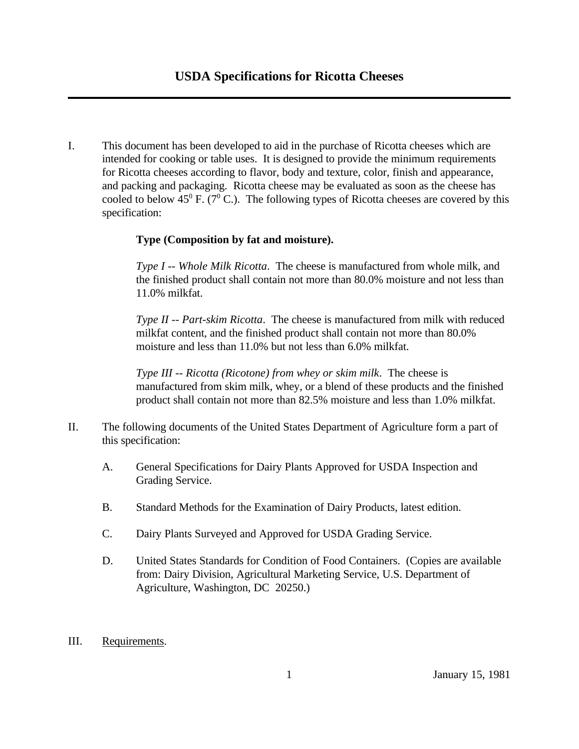I. This document has been developed to aid in the purchase of Ricotta cheeses which are intended for cooking or table uses. It is designed to provide the minimum requirements for Ricotta cheeses according to flavor, body and texture, color, finish and appearance, and packing and packaging. Ricotta cheese may be evaluated as soon as the cheese has cooled to below 45 $^{\circ}$  F. (7 $^{\circ}$  C.). The following types of Ricotta cheeses are covered by this specification:

### **Type (Composition by fat and moisture).**

*Type I -- Whole Milk Ricotta*. The cheese is manufactured from whole milk, and the finished product shall contain not more than 80.0% moisture and not less than 11.0% milkfat.

*Type II -- Part-skim Ricotta*. The cheese is manufactured from milk with reduced milkfat content, and the finished product shall contain not more than 80.0% moisture and less than 11.0% but not less than 6.0% milkfat.

*Type III -- Ricotta (Ricotone) from whey or skim milk*. The cheese is manufactured from skim milk, whey, or a blend of these products and the finished product shall contain not more than 82.5% moisture and less than 1.0% milkfat.

- II. The following documents of the United States Department of Agriculture form a part of this specification:
	- A. General Specifications for Dairy Plants Approved for USDA Inspection and Grading Service.
	- B. Standard Methods for the Examination of Dairy Products, latest edition.
	- C. Dairy Plants Surveyed and Approved for USDA Grading Service.
	- D. United States Standards for Condition of Food Containers. (Copies are available from: Dairy Division, Agricultural Marketing Service, U.S. Department of Agriculture, Washington, DC 20250.)
- III. Requirements.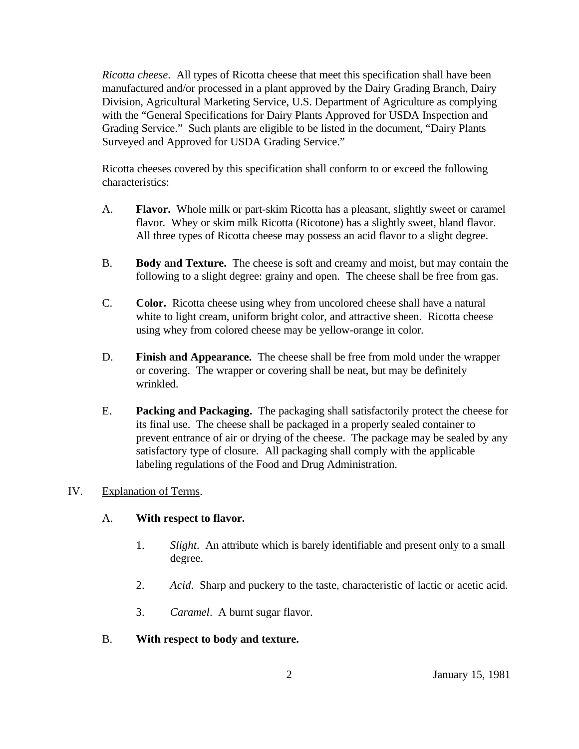*Ricotta cheese*. All types of Ricotta cheese that meet this specification shall have been manufactured and/or processed in a plant approved by the Dairy Grading Branch, Dairy Division, Agricultural Marketing Service, U.S. Department of Agriculture as complying with the "General Specifications for Dairy Plants Approved for USDA Inspection and Grading Service." Such plants are eligible to be listed in the document, "Dairy Plants Surveyed and Approved for USDA Grading Service."

Ricotta cheeses covered by this specification shall conform to or exceed the following characteristics:

- A. **Flavor.** Whole milk or part-skim Ricotta has a pleasant, slightly sweet or caramel flavor. Whey or skim milk Ricotta (Ricotone) has a slightly sweet, bland flavor. All three types of Ricotta cheese may possess an acid flavor to a slight degree.
- B. **Body and Texture.** The cheese is soft and creamy and moist, but may contain the following to a slight degree: grainy and open. The cheese shall be free from gas.
- C. **Color.** Ricotta cheese using whey from uncolored cheese shall have a natural white to light cream, uniform bright color, and attractive sheen. Ricotta cheese using whey from colored cheese may be yellow-orange in color.
- D. **Finish and Appearance.** The cheese shall be free from mold under the wrapper or covering. The wrapper or covering shall be neat, but may be definitely wrinkled.
- E. **Packing and Packaging.** The packaging shall satisfactorily protect the cheese for its final use. The cheese shall be packaged in a properly sealed container to prevent entrance of air or drying of the cheese. The package may be sealed by any satisfactory type of closure. All packaging shall comply with the applicable labeling regulations of the Food and Drug Administration.

### IV. Explanation of Terms.

### A. **With respect to flavor.**

- 1. *Slight*. An attribute which is barely identifiable and present only to a small degree.
- 2. *Acid*. Sharp and puckery to the taste, characteristic of lactic or acetic acid.
- 3. *Caramel*. A burnt sugar flavor.
- B. **With respect to body and texture.**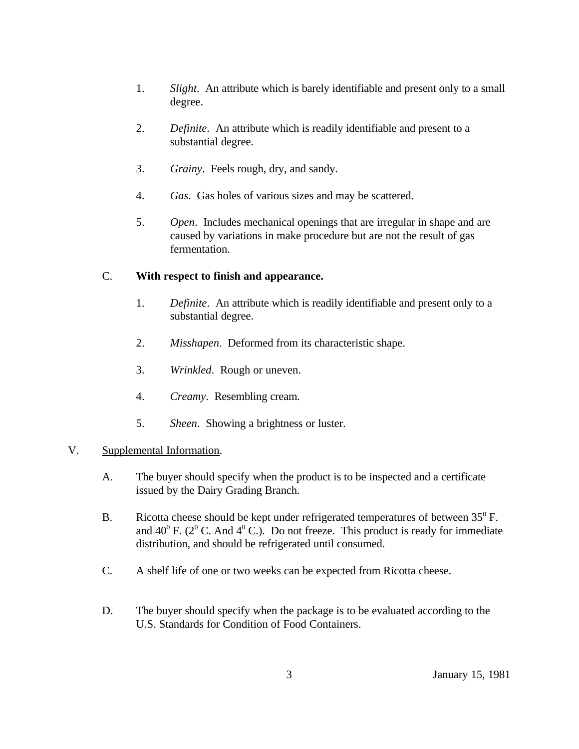- 1. *Slight*. An attribute which is barely identifiable and present only to a small degree.
- 2. *Definite*. An attribute which is readily identifiable and present to a substantial degree.
- 3. *Grainy*. Feels rough, dry, and sandy.
- 4. *Gas*. Gas holes of various sizes and may be scattered.
- 5. *Open*. Includes mechanical openings that are irregular in shape and are caused by variations in make procedure but are not the result of gas fermentation.

## C. **With respect to finish and appearance.**

- 1. *Definite*. An attribute which is readily identifiable and present only to a substantial degree.
- 2. *Misshapen*. Deformed from its characteristic shape.
- 3. *Wrinkled*. Rough or uneven.
- 4. *Creamy*. Resembling cream.
- 5. *Sheen*. Showing a brightness or luster.

### V. Supplemental Information.

- A. The buyer should specify when the product is to be inspected and a certificate issued by the Dairy Grading Branch.
- B. Ricotta cheese should be kept under refrigerated temperatures of between  $35^{\circ}$  F. and  $40^{\circ}$  F. ( $2^{\circ}$  C. And  $4^{\circ}$  C.). Do not freeze. This product is ready for immediate distribution, and should be refrigerated until consumed.
- C. A shelf life of one or two weeks can be expected from Ricotta cheese.
- D. The buyer should specify when the package is to be evaluated according to the U.S. Standards for Condition of Food Containers.